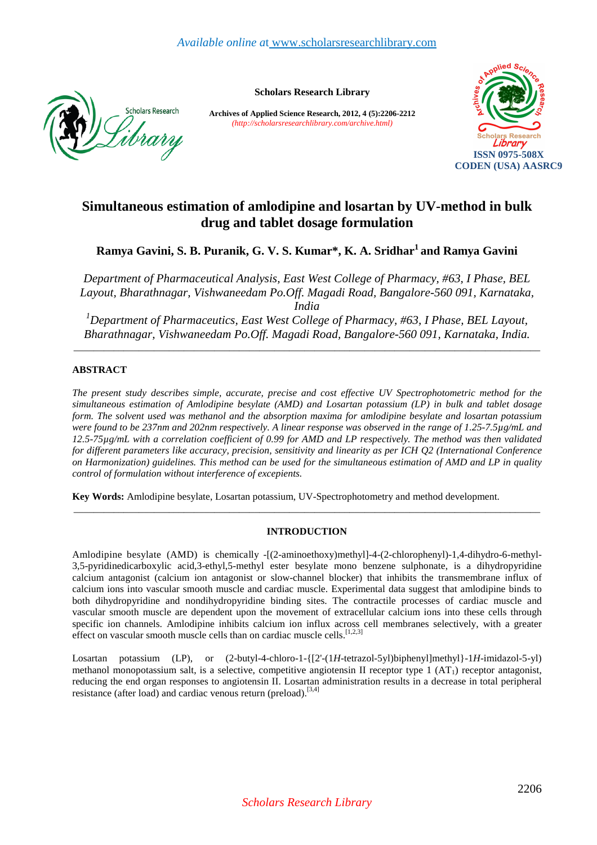

**Scholars Research Library** 

**Archives of Applied Science Research, 2012, 4 (5):2206-2212** *(http://scholarsresearchlibrary.com/archive.html)*



# **Simultaneous estimation of amlodipine and losartan by UV-method in bulk drug and tablet dosage formulation**

**Ramya Gavini, S. B. Puranik, G. V. S. Kumar\*, K. A. Sridhar<sup>1</sup>and Ramya Gavini** 

*Department of Pharmaceutical Analysis, East West College of Pharmacy, #63, I Phase, BEL Layout, Bharathnagar, Vishwaneedam Po.Off. Magadi Road, Bangalore-560 091, Karnataka, India* 

*<sup>1</sup>Department of Pharmaceutics, East West College of Pharmacy, #63, I Phase, BEL Layout, Bharathnagar, Vishwaneedam Po.Off. Magadi Road, Bangalore-560 091, Karnataka, India.* 

\_\_\_\_\_\_\_\_\_\_\_\_\_\_\_\_\_\_\_\_\_\_\_\_\_\_\_\_\_\_\_\_\_\_\_\_\_\_\_\_\_\_\_\_\_\_\_\_\_\_\_\_\_\_\_\_\_\_\_\_\_\_\_\_\_\_\_\_\_\_\_\_\_\_\_\_\_\_\_\_\_\_\_\_\_\_\_\_\_\_\_\_\_

# **ABSTRACT**

*The present study describes simple, accurate, precise and cost effective UV Spectrophotometric method for the simultaneous estimation of Amlodipine besylate (AMD) and Losartan potassium (LP) in bulk and tablet dosage form. The solvent used was methanol and the absorption maxima for amlodipine besylate and losartan potassium were found to be 237nm and 202nm respectively. A linear response was observed in the range of 1.25-7.5µg/mL and 12.5-75µg/mL with a correlation coefficient of 0.99 for AMD and LP respectively. The method was then validated for different parameters like accuracy, precision, sensitivity and linearity as per ICH Q2 (International Conference on Harmonization) guidelines. This method can be used for the simultaneous estimation of AMD and LP in quality control of formulation without interference of excepients.* 

**Key Words:** Amlodipine besylate, Losartan potassium, UV-Spectrophotometry and method development.

# **INTRODUCTION**

\_\_\_\_\_\_\_\_\_\_\_\_\_\_\_\_\_\_\_\_\_\_\_\_\_\_\_\_\_\_\_\_\_\_\_\_\_\_\_\_\_\_\_\_\_\_\_\_\_\_\_\_\_\_\_\_\_\_\_\_\_\_\_\_\_\_\_\_\_\_\_\_\_\_\_\_\_\_\_\_\_\_\_\_\_\_\_\_\_\_\_\_\_

Amlodipine besylate (AMD) is chemically -[(2-aminoethoxy)methyl]-4-(2-chlorophenyl)-1,4-dihydro-6-methyl-3,5-pyridinedicarboxylic acid,3-ethyl,5-methyl ester besylate mono benzene sulphonate, is a dihydropyridine calcium antagonist (calcium ion antagonist or slow-channel blocker) that inhibits the transmembrane influx of calcium ions into vascular smooth muscle and cardiac muscle. Experimental data suggest that amlodipine binds to both dihydropyridine and nondihydropyridine binding sites. The contractile processes of cardiac muscle and vascular smooth muscle are dependent upon the movement of extracellular calcium ions into these cells through specific ion channels. Amlodipine inhibits calcium ion influx across cell membranes selectively, with a greater effect on vascular smooth muscle cells than on cardiac muscle cells.<sup>[1,2,3]</sup>

Losartan potassium (LP), or (2-butyl-4-chloro-1-{[2'-(1*H*-tetrazol-5yl)biphenyl]methyl}-1*H*-imidazol-5-yl) methanol monopotassium salt, is a selective, competitive angiotensin II receptor type  $1 (AT<sub>1</sub>)$  receptor antagonist, reducing the end organ responses to angiotensin II. Losartan administration results in a decrease in total peripheral resistance (after load) and cardiac venous return (preload).[3,4]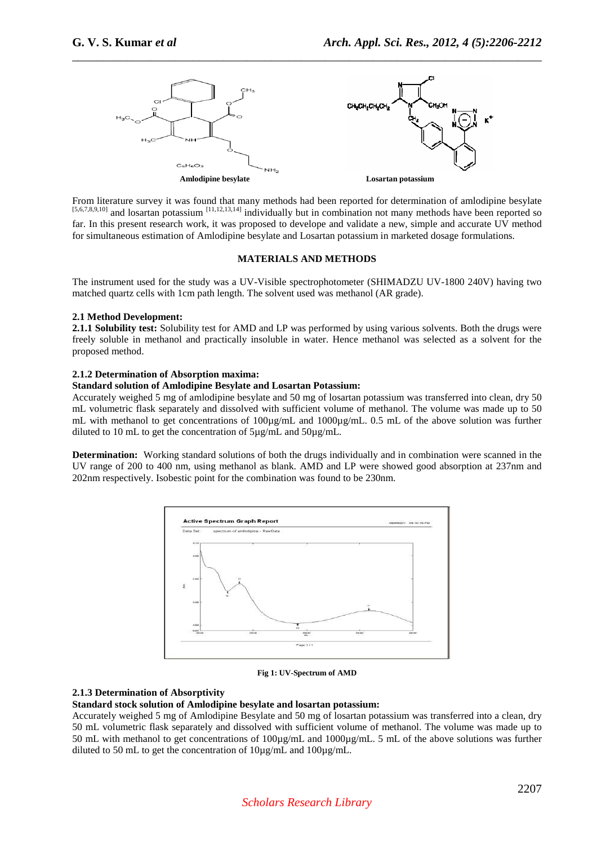

\_\_\_\_\_\_\_\_\_\_\_\_\_\_\_\_\_\_\_\_\_\_\_\_\_\_\_\_\_\_\_\_\_\_\_\_\_\_\_\_\_\_\_\_\_\_\_\_\_\_\_\_\_\_\_\_\_\_\_\_\_\_\_\_\_\_\_\_\_\_\_\_\_\_\_\_\_\_

From literature survey it was found that many methods had been reported for determination of amlodipine besylate [5,6,7,8,9,10] and losartan potassium [11,12,13,14] individually but in combination not many methods have been reported so far. In this present research work, it was proposed to develope and validate a new, simple and accurate UV method for simultaneous estimation of Amlodipine besylate and Losartan potassium in marketed dosage formulations.

# **MATERIALS AND METHODS**

The instrument used for the study was a UV-Visible spectrophotometer (SHIMADZU UV-1800 240V) having two matched quartz cells with 1cm path length. The solvent used was methanol (AR grade).

# **2.1 Method Development:**

**2.1.1 Solubility test:** Solubility test for AMD and LP was performed by using various solvents. Both the drugs were freely soluble in methanol and practically insoluble in water. Hence methanol was selected as a solvent for the proposed method.

## **2.1.2 Determination of Absorption maxima:**

### **Standard solution of Amlodipine Besylate and Losartan Potassium:**

Accurately weighed 5 mg of amlodipine besylate and 50 mg of losartan potassium was transferred into clean, dry 50 mL volumetric flask separately and dissolved with sufficient volume of methanol. The volume was made up to 50 mL with methanol to get concentrations of 100µg/mL and 1000µg/mL. 0.5 mL of the above solution was further diluted to 10 mL to get the concentration of 5µg/mL and 50µg/mL.

**Determination:** Working standard solutions of both the drugs individually and in combination were scanned in the UV range of 200 to 400 nm, using methanol as blank. AMD and LP were showed good absorption at 237nm and 202nm respectively. Isobestic point for the combination was found to be 230nm.



**Fig 1: UV-Spectrum of AMD** 

# **2.1.3 Determination of Absorptivity**

### **Standard stock solution of Amlodipine besylate and losartan potassium:**

Accurately weighed 5 mg of Amlodipine Besylate and 50 mg of losartan potassium was transferred into a clean, dry 50 mL volumetric flask separately and dissolved with sufficient volume of methanol. The volume was made up to 50 mL with methanol to get concentrations of 100µg/mL and 1000µg/mL. 5 mL of the above solutions was further diluted to 50 mL to get the concentration of 10µg/mL and 100µg/mL.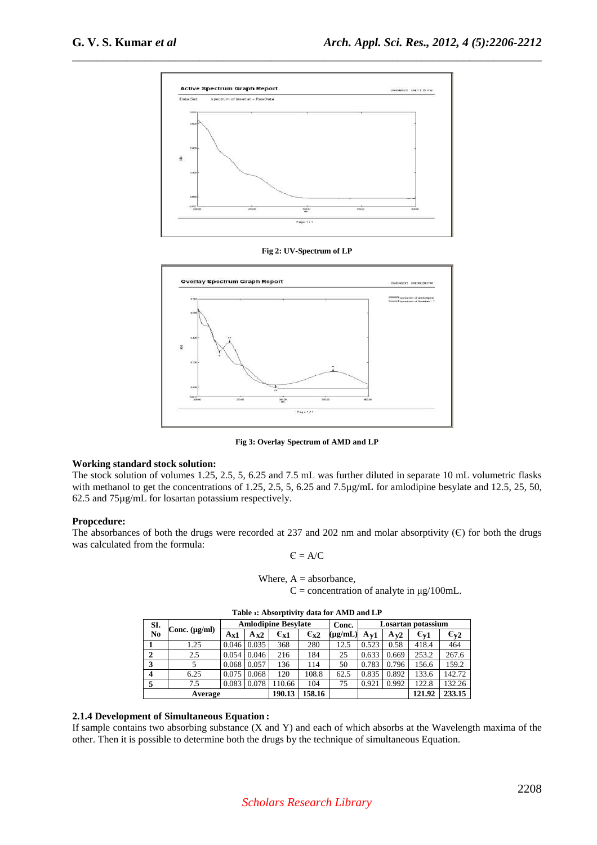

\_\_\_\_\_\_\_\_\_\_\_\_\_\_\_\_\_\_\_\_\_\_\_\_\_\_\_\_\_\_\_\_\_\_\_\_\_\_\_\_\_\_\_\_\_\_\_\_\_\_\_\_\_\_\_\_\_\_\_\_\_\_\_\_\_\_\_\_\_\_\_\_\_\_\_\_\_\_

**Fig 2: UV-Spectrum of LP** 



**Fig 3: Overlay Spectrum of AMD and LP** 

### **Working standard stock solution:**

The stock solution of volumes 1.25, 2.5, 5, 6.25 and 7.5 mL was further diluted in separate 10 mL volumetric flasks with methanol to get the concentrations of 1.25, 2.5, 5, 6.25 and 7.5µg/mL for amlodipine besylate and 12.5, 25, 50, 62.5 and 75µg/mL for losartan potassium respectively.

### **Propcedure:**

The absorbances of both the drugs were recorded at 237 and 202 nm and molar absorptivity  $(C)$  for both the drugs was calculated from the formula:

$$
\boldsymbol{C} = \boldsymbol{A}/\boldsymbol{C}
$$

Where,  $A =$  absorbance,  $C =$  concentration of analyte in  $\mu$ g/100mL.

| SI.                     |                    |          |          | <b>Amlodipine Besylate</b> |                     | Losartan potassium<br>Conc. |          |          |                          |                    |
|-------------------------|--------------------|----------|----------|----------------------------|---------------------|-----------------------------|----------|----------|--------------------------|--------------------|
| No                      | Conc. $(\mu g/ml)$ | $A_{X1}$ | $A_{X2}$ | $\epsilon_{x1}$            | $\epsilon_{\rm x2}$ | $(\mu g/mL)$                | $A_{V1}$ | $A_{V2}$ | $\epsilon_{\mathrm{v}1}$ | $\varepsilon_{v2}$ |
|                         | 1.25               | 0.046    | 0.035    | 368                        | 280                 | 12.5                        | 0.523    | 0.58     | 418.4                    | 464                |
| $\overline{2}$          | 2.5                | 0.054    | 0.046    | 216                        | 184                 | 25                          | 0.633    | 0.669    | 253.2                    | 267.6              |
| 3                       |                    | 0.068    | 0.057    | 136                        | 114                 | 50                          | 0.783    | 0.796    | 156.6                    | 159.2              |
| $\overline{\mathbf{4}}$ | 6.25               | 0.075    | 0.068    | 120                        | 108.8               | 62.5                        | 0.835    | 0.892    | 133.6                    | 142.72             |
|                         | 7.5                | 0.083    | 0.078    | 110.66                     | 104                 | 75                          | 0.921    | 0.992    | 122.8                    | 132.26             |
| Average                 |                    |          | 190.13   | 158.16                     |                     |                             |          | 121.92   | 233.15                   |                    |

**Table** 1**: Absorptivity data for AMD and LP**

# **2.1.4 Development of Simultaneous Equation :**

If sample contains two absorbing substance (X and Y) and each of which absorbs at the Wavelength maxima of the other. Then it is possible to determine both the drugs by the technique of simultaneous Equation.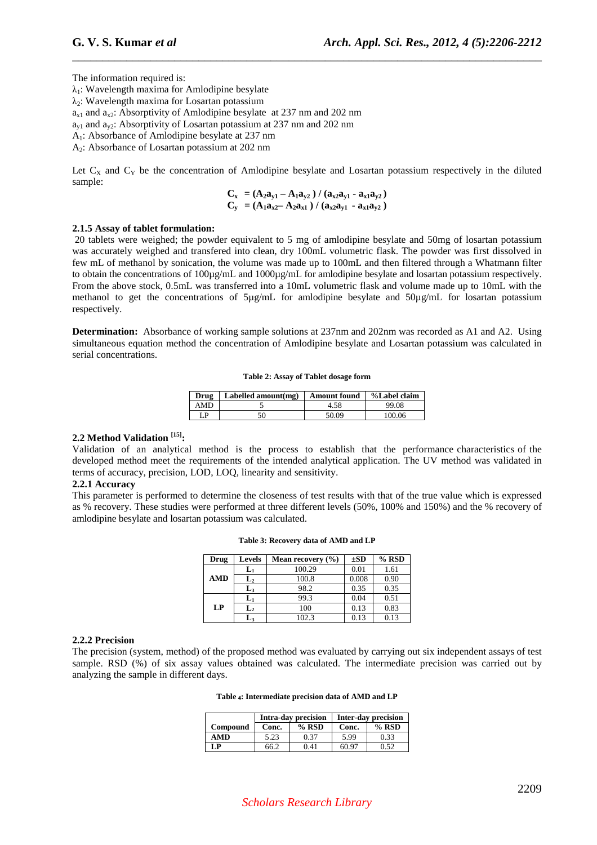The information required is:

 $\lambda_1$ : Wavelength maxima for Amlodipine besylate

 $\lambda$ <sup>2</sup>: Wavelength maxima for Losartan potassium

 $a_{x1}$  and  $a_{x2}$ : Absorptivity of Amlodipine besylate at 237 nm and 202 nm

 $a_{v1}$  and  $a_{v2}$ : Absorptivity of Losartan potassium at 237 nm and 202 nm

A1: Absorbance of Amlodipine besylate at 237 nm

A2: Absorbance of Losartan potassium at 202 nm

Let  $C_X$  and  $C_Y$  be the concentration of Amlodipine besylate and Losartan potassium respectively in the diluted sample:

\_\_\_\_\_\_\_\_\_\_\_\_\_\_\_\_\_\_\_\_\_\_\_\_\_\_\_\_\_\_\_\_\_\_\_\_\_\_\_\_\_\_\_\_\_\_\_\_\_\_\_\_\_\_\_\_\_\_\_\_\_\_\_\_\_\_\_\_\_\_\_\_\_\_\_\_\_\_

$$
C_x = (A_2 a_{y1} - A_1 a_{y2}) / (a_{x2} a_{y1} - a_{x1} a_{y2})
$$
  
\n
$$
C_y = (A_1 a_{x2} - A_2 a_{x1}) / (a_{x2} a_{y1} - a_{x1} a_{y2})
$$

# **2.1.5 Assay of tablet formulation:**

 20 tablets were weighed; the powder equivalent to 5 mg of amlodipine besylate and 50mg of losartan potassium was accurately weighed and transfered into clean, dry 100mL volumetric flask. The powder was first dissolved in few mL of methanol by sonication, the volume was made up to 100mL and then filtered through a Whatmann filter to obtain the concentrations of 100µg/mL and 1000µg/mL for amlodipine besylate and losartan potassium respectively. From the above stock, 0.5mL was transferred into a 10mL volumetric flask and volume made up to 10mL with the methanol to get the concentrations of 5µg/mL for amlodipine besylate and 50µg/mL for losartan potassium respectively.

**Determination:** Absorbance of working sample solutions at 237nm and 202nm was recorded as A1 and A2. Using simultaneous equation method the concentration of Amlodipine besylate and Losartan potassium was calculated in serial concentrations.

**Table 2: Assay of Tablet dosage form** 

| Drug | Labelled amount(mg) | Amount found | %Label claim |
|------|---------------------|--------------|--------------|
| AMD  |                     | 4.58         | 99.08        |
| LP   | 50                  | 50.09        | 100.06       |

# **2.2 Method Validation [15]:**

Validation of an analytical method is the process to establish that the performance characteristics of the developed method meet the requirements of the intended analytical application. The UV method was validated in terms of accuracy, precision, LOD, LOQ, linearity and sensitivity.

### **2.2.1 Accuracy**

This parameter is performed to determine the closeness of test results with that of the true value which is expressed as % recovery. These studies were performed at three different levels (50%, 100% and 150%) and the % recovery of amlodipine besylate and losartan potassium was calculated.

| Drug       | <b>Levels</b>  | Mean recovery $(\% )$ | $\pm SD$ | $%$ RSD |
|------------|----------------|-----------------------|----------|---------|
|            | $L_1$          | 100.29                | 0.01     | 1.61    |
| <b>AMD</b> | $\mathbf{L}_2$ | 100.8                 | 0.008    | 0.90    |
|            | $\mathbf{L}_3$ | 98.2                  | 0.35     | 0.35    |
|            | $L_1$          | 99.3                  | 0.04     | 0.51    |
| LP         | $\mathbf{L}_2$ | 100                   | 0.13     | 0.83    |
|            | L٦             | 102.3                 | 0.13     | 0.13    |

#### **Table 3: Recovery data of AMD and LP**

## **2.2.2 Precision**

The precision (system, method) of the proposed method was evaluated by carrying out six independent assays of test sample. RSD (%) of six assay values obtained was calculated. The intermediate precision was carried out by analyzing the sample in different days.

| Table 4: Intermediate precision data of AMD and LP |  |  |
|----------------------------------------------------|--|--|
|----------------------------------------------------|--|--|

|          |       | <b>Intra-day precision</b> | Inter-day precision |         |  |
|----------|-------|----------------------------|---------------------|---------|--|
| Compound | Conc. | $%$ RSD                    | Conc.               | $%$ RSD |  |
| AMD      | 5.23  | 0.37                       | 5.99                | 0.33    |  |
| LP.      | 66.2  | 0.41                       | 60.97               | 0.52    |  |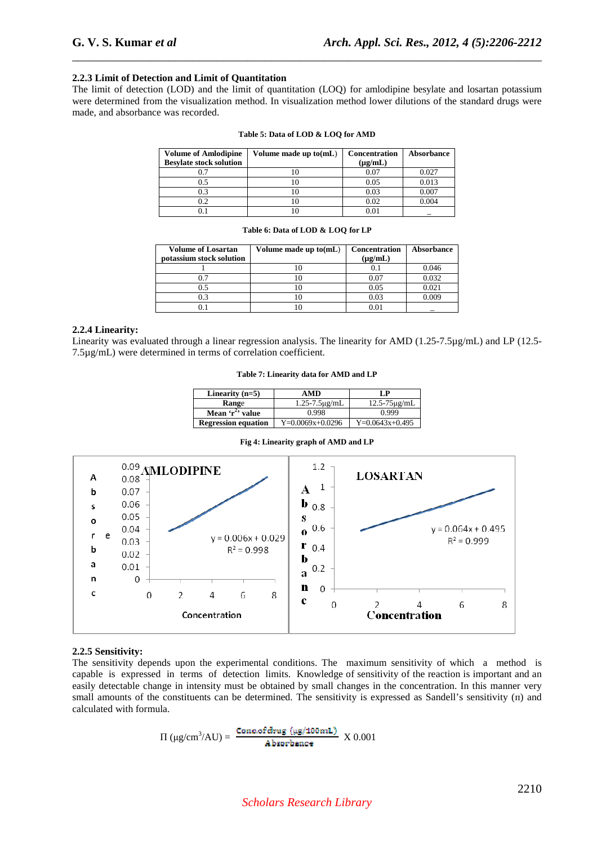# **2.2.3 Limit of Detection and Limit of Quantitation**

The limit of detection (LOD) and the limit of quantitation (LOQ) for amlodipine besylate and losartan potassium were determined from the visualization method. In visualization method lower dilutions of the standard drugs were made, and absorbance was recorded.

\_\_\_\_\_\_\_\_\_\_\_\_\_\_\_\_\_\_\_\_\_\_\_\_\_\_\_\_\_\_\_\_\_\_\_\_\_\_\_\_\_\_\_\_\_\_\_\_\_\_\_\_\_\_\_\_\_\_\_\_\_\_\_\_\_\_\_\_\_\_\_\_\_\_\_\_\_\_

| <b>Volume of Amlodipine</b>    | Volume made up $to(mL)$ | Concentration | Absorbance |
|--------------------------------|-------------------------|---------------|------------|
| <b>Besylate stock solution</b> |                         | $(\mu g/mL)$  |            |
|                                |                         | 0.07          | 0.027      |
|                                |                         | 0.05          | 0.013      |
| 0.3                            |                         | 0.03          | 0.007      |
| 0.2                            |                         | 0.02          | 0.004      |
|                                |                         | 0 O 1         |            |

#### **Table 5: Data of LOD & LOQ for AMD**

#### **Table 6: Data of LOD & LOQ for LP**

| <b>Volume of Losartan</b> | Volume made up to(mL) | <b>Concentration</b> | Absorbance |
|---------------------------|-----------------------|----------------------|------------|
| potassium stock solution  |                       | $(\mu g/mL)$         |            |
|                           |                       |                      | 0.046      |
| በ 7                       |                       | 0.07                 | 0.032      |
| 0.5                       |                       | 0.05                 | 0.021      |
| 0.3                       |                       | 0.03                 | ) ሀሀር      |
|                           |                       |                      |            |

# **2.2.4 Linearity:**

Linearity was evaluated through a linear regression analysis. The linearity for AMD (1.25-7.5µg/mL) and LP (12.5-7.5µg/mL) were determined in terms of correlation coefficient.

#### **Table 7: Linearity data for AMD and LP**

| Linearity $(n=5)$          | AMD                   | I .P                 |
|----------------------------|-----------------------|----------------------|
| Range                      | $1.25 - 7.5 \mu$ g/mL | $12.5 - 75 \mu$ g/mL |
| Mean $r^2$ value           | 0.998                 | 0.999                |
| <b>Regression equation</b> | $Y=0.0069x+0.0296$    | $Y=0.0643x+0.495$    |

#### **Fig 4: Linearity graph of AMD and LP**



### **2.2.5 Sensitivity:**

The sensitivity depends upon the experimental conditions. The maximum sensitivity of which a method is capable is expressed in terms of detection limits. Knowledge of sensitivity of the reaction is important and an easily detectable change in intensity must be obtained by small changes in the concentration. In this manner very small amounts of the constituents can be determined. The sensitivity is expressed as Sandell's sensitivity (π) and calculated with formula.

$$
\Pi \left( \mu g / \text{cm}^3 / \text{AU} \right) = \frac{\text{Concof drug } (\mu g / 100 \text{ mL})}{\text{Absorbance}} \ X \ 0.001
$$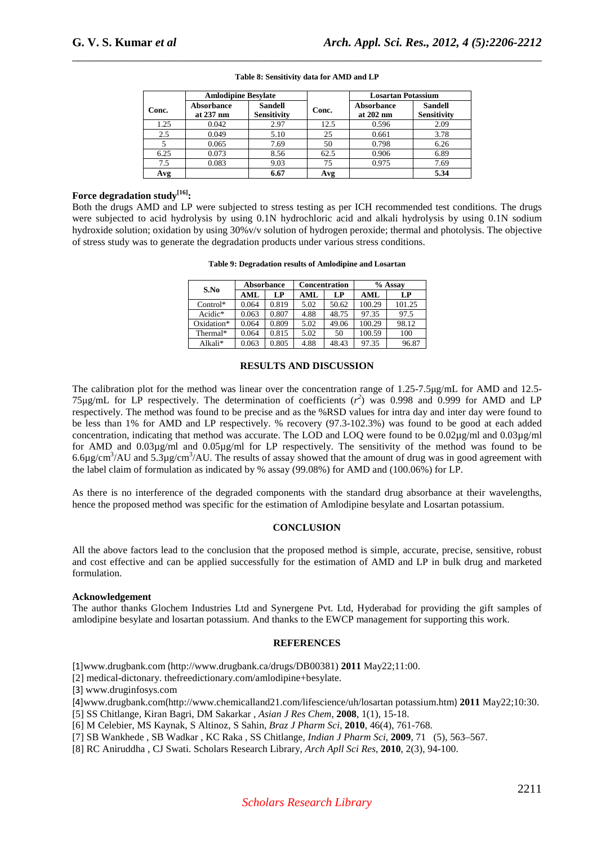|       | <b>Amlodipine Besylate</b>     |                                      |       | <b>Losartan Potassium</b> |                               |  |
|-------|--------------------------------|--------------------------------------|-------|---------------------------|-------------------------------|--|
| Conc. | <b>Absorbance</b><br>at 237 nm | <b>Sandell</b><br><b>Sensitivity</b> | Conc. | Absorbance<br>at 202 nm   | <b>Sandell</b><br>Sensitivity |  |
| 1.25  | 0.042                          | 2.97                                 | 12.5  | 0.596                     | 2.09                          |  |
| 2.5   | 0.049                          | 5.10                                 | 25    | 0.661                     | 3.78                          |  |
|       | 0.065                          | 7.69                                 | 50    | 0.798                     | 6.26                          |  |
| 6.25  | 0.073                          | 8.56                                 | 62.5  | 0.906                     | 6.89                          |  |
| 7.5   | 0.083                          | 9.03                                 | 75    | 0.975                     | 7.69                          |  |
| Avg   |                                | 6.67                                 | Avg   |                           | 5.34                          |  |

# \_\_\_\_\_\_\_\_\_\_\_\_\_\_\_\_\_\_\_\_\_\_\_\_\_\_\_\_\_\_\_\_\_\_\_\_\_\_\_\_\_\_\_\_\_\_\_\_\_\_\_\_\_\_\_\_\_\_\_\_\_\_\_\_\_\_\_\_\_\_\_\_\_\_\_\_\_\_ **Table 8: Sensitivity data for AMD and LP**

# **Force degradation study[16]:**

Both the drugs AMD and LP were subjected to stress testing as per ICH recommended test conditions. The drugs were subjected to acid hydrolysis by using 0.1N hydrochloric acid and alkali hydrolysis by using 0.1N sodium hydroxide solution; oxidation by using 30%v/v solution of hydrogen peroxide; thermal and photolysis. The objective of stress study was to generate the degradation products under various stress conditions.

**Table 9: Degradation results of Amlodipine and Losartan** 

|                     |       | <b>Absorbance</b> | <b>Concentration</b> |       | % Assay |        |  |  |  |
|---------------------|-------|-------------------|----------------------|-------|---------|--------|--|--|--|
| S.No                | AML   | LP                | AML                  | LP    | AML     | LP     |  |  |  |
| $Control*$          | 0.064 | 0.819             | 5.02                 | 50.62 | 100.29  | 101.25 |  |  |  |
| Acidic <sup>*</sup> | 0.063 | 0.807             | 4.88                 | 48.75 | 97.35   | 97.5   |  |  |  |
| Oxidation*          | 0.064 | 0.809             | 5.02                 | 49.06 | 100.29  | 98.12  |  |  |  |
| Thermal*            | 0.064 | 0.815             | 5.02                 | 50    | 100.59  | 100    |  |  |  |
| $Alkali*$           | 0.063 | 0.805             | 4.88                 | 48.43 | 97.35   | 96.87  |  |  |  |

## **RESULTS AND DISCUSSION**

The calibration plot for the method was linear over the concentration range of 1.25-7.5µg/mL for AMD and 12.5- 75 $\mu$ g/mL for LP respectively. The determination of coefficients  $(r^2)$  was 0.998 and 0.999 for AMD and LP respectively. The method was found to be precise and as the %RSD values for intra day and inter day were found to be less than 1% for AMD and LP respectively. % recovery (97.3-102.3%) was found to be good at each added concentration, indicating that method was accurate. The LOD and LOQ were found to be 0.02µg/ml and 0.03µg/ml for AMD and 0.03µg/ml and 0.05µg/ml for LP respectively. The sensitivity of the method was found to be 6.6 $\mu$ g/cm<sup>3</sup>/AU and 5.3 $\mu$ g/cm<sup>3</sup>/AU. The results of assay showed that the amount of drug was in good agreement with the label claim of formulation as indicated by % assay (99.08%) for AMD and (100.06%) for LP.

As there is no interference of the degraded components with the standard drug absorbance at their wavelengths, hence the proposed method was specific for the estimation of Amlodipine besylate and Losartan potassium.

# **CONCLUSION**

All the above factors lead to the conclusion that the proposed method is simple, accurate, precise, sensitive, robust and cost effective and can be applied successfully for the estimation of AMD and LP in bulk drug and marketed formulation.

# **Acknowledgement**

The author thanks Glochem Industries Ltd and Synergene Pvt. Ltd, Hyderabad for providing the gift samples of amlodipine besylate and losartan potassium. And thanks to the EWCP management for supporting this work.

# **REFERENCES**

[1]www.drugbank.com (http://www.drugbank.ca/drugs/DB00381) **2011** May22;11:00.

[2] medical-dictonary. thefreedictionary.com/amlodipine+besylate.

[3] www.druginfosys.com

[4]www.drugbank.com(http://www.chemicalland21.com/lifescience/uh/losartan potassium.htm) **2011** May22;10:30.

[5] SS Chitlange, Kiran Bagri, DM Sakarkar , *Asian J Res Chem*, **2008**, 1(1), 15-18.

[6] M Celebier, MS Kaynak, S Altinoz, S Sahin, *Braz J Pharm Sci*, **2010**, 46(4), 761-768.

[7] SB Wankhede , SB Wadkar , KC Raka , SS Chitlange, *Indian J Pharm Sci*, **2009**, 71 (5), 563–567.

[8] RC Aniruddha , CJ Swati. Scholars Research Library, *Arch Apll Sci Res*, **2010**, 2(3), 94-100.